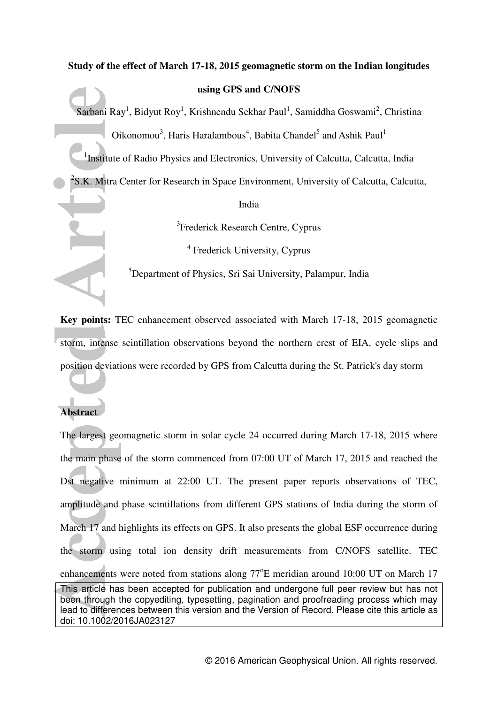# **Study of the effect of March 17-18, 2015 geomagnetic storm on the Indian longitudes**

**using GPS and C/NOFS**

Sarbani Ray<sup>1</sup>, Bidyut Roy<sup>1</sup>, Krishnendu Sekhar Paul<sup>1</sup>, Samiddha Goswami<sup>2</sup>, Christina Oikonomou<sup>3</sup>, Haris Haralambous<sup>4</sup>, Babita Chandel<sup>5</sup> and Ashik Paul<sup>1</sup>

<sup>1</sup>Institute of Radio Physics and Electronics, University of Calcutta, Calcutta, India

 $2$ S.K. Mitra Center for Research in Space Environment, University of Calcutta, Calcutta,

India

<sup>3</sup>Frederick Research Centre, Cyprus

4 Frederick University, Cyprus

<sup>5</sup>Department of Physics, Sri Sai University, Palampur, India

**Key points:** TEC enhancement observed associated with March 17-18, 2015 geomagnetic storm, intense scintillation observations beyond the northern crest of EIA, cycle slips and position deviations were recorded by GPS from Calcutta during the St. Patrick's day storm

## **Abstract**

This article has been accepted for publication and undergone full peer review but has not been through the copyediting, typesetting, pagination and proofreading process which may lead to differences between this version and the Version of Record. Please cite this article as doi: 10.1002/2016JA023127 The largest geomagnetic storm in solar cycle 24 occurred during March 17-18, 2015 where the main phase of the storm commenced from 07:00 UT of March 17, 2015 and reached the Dst negative minimum at 22:00 UT. The present paper reports observations of TEC, amplitude and phase scintillations from different GPS stations of India during the storm of March 17 and highlights its effects on GPS. It also presents the global ESF occurrence during the storm using total ion density drift measurements from C/NOFS satellite. TEC enhancements were noted from stations along 77°E meridian around 10:00 UT on March 17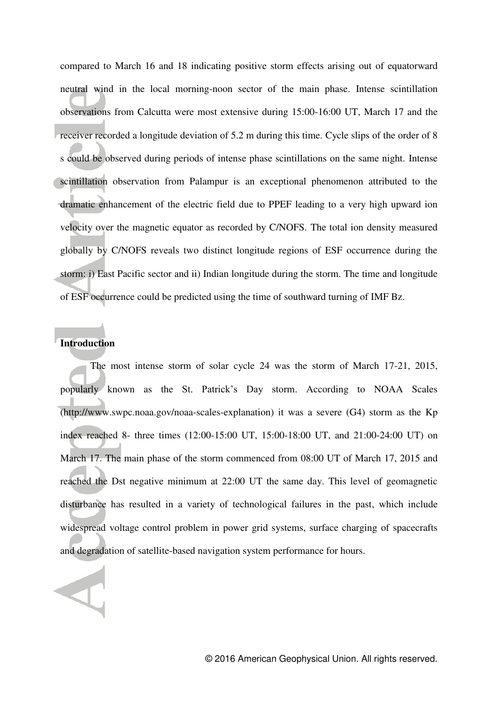compared to March 16 and 18 indicating positive storm effects arising out of equatorward neutral wind in the local morning-noon sector of the main phase. Intense scintillation observations from Calcutta were most extensive during 15:00-16:00 UT, March 17 and the receiver recorded a longitude deviation of 5.2 m during this time. Cycle slips of the order of 8 s could be observed during periods of intense phase scintillations on the same night. Intense scintillation observation from Palampur is an exceptional phenomenon attributed to the dramatic enhancement of the electric field due to PPEF leading to a very high upward ion velocity over the magnetic equator as recorded by C/NOFS. The total ion density measured globally by C/NOFS reveals two distinct longitude regions of ESF occurrence during the storm: i) East Pacific sector and ii) Indian longitude during the storm. The time and longitude of ESF occurrence could be predicted using the time of southward turning of IMF Bz.

## **Introduction**

 The most intense storm of solar cycle 24 was the storm of March 17-21, 2015, popularly known as the St. Patrick's Day storm. According to NOAA Scales [\(http://www.swpc.noaa.gov/noaa-scales-explanation\)](http://www.swpc.noaa.gov/noaa-scales-explanation) it was a severe (G4) storm as the Kp index reached 8- three times (12:00-15:00 UT, 15:00-18:00 UT, and 21:00-24:00 UT) on March 17. The main phase of the storm commenced from 08:00 UT of March 17, 2015 and reached the Dst negative minimum at 22:00 UT the same day. This level of geomagnetic disturbance has resulted in a variety of technological failures in the past, which include widespread voltage control problem in power grid systems, surface charging of spacecrafts and degradation of satellite-based navigation system performance for hours.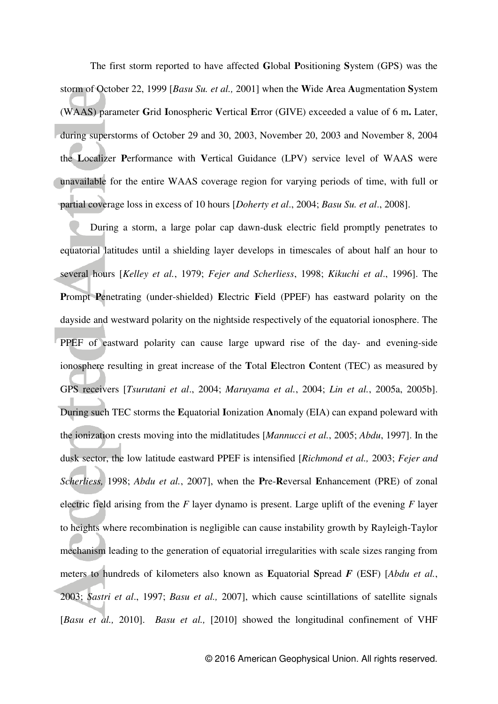The first storm reported to have affected **G**lobal **P**ositioning **S**ystem (GPS) was the storm of October 22, 1999 [*Basu Su. et al.,* 2001] when the **W**ide **A**rea **A**ugmentation **S**ystem (WAAS) parameter **G**rid **I**onospheric **V**ertical **E**rror (GIVE) exceeded a value of 6 m**.** Later, during superstorms of October 29 and 30, 2003, November 20, 2003 and November 8, 2004 the **L**ocalizer **P**erformance with **V**ertical Guidance (LPV) service level of WAAS were unavailable for the entire WAAS coverage region for varying periods of time, with full or partial coverage loss in excess of 10 hours [*Doherty et al*., 2004; *Basu Su. et al*., 2008].

During a storm, a large polar cap dawn-dusk electric field promptly penetrates to equatorial latitudes until a shielding layer develops in timescales of about half an hour to several hours [*Kelley et al.*, 1979; *Fejer and Scherliess*, 1998; *Kikuchi et al*., 1996]. The **P**rompt **P**enetrating (under-shielded) **E**lectric **F**ield (PPEF) has eastward polarity on the dayside and westward polarity on the nightside respectively of the equatorial ionosphere. The PPEF of eastward polarity can cause large upward rise of the day- and evening-side ionosphere resulting in great increase of the **T**otal **E**lectron **C**ontent (TEC) as measured by GPS receivers [*Tsurutani et al*., 2004; *Maruyama et al.*, 2004; *Lin et al.*, 2005a, 2005b]. During such TEC storms the **E**quatorial **I**onization **A**nomaly (EIA) can expand poleward with the ionization crests moving into the midlatitudes [*Mannucci et al.*, 2005; *Abdu*, 1997]. In the dusk sector, the low latitude eastward PPEF is intensified [*Richmond et al.,* 2003; *Fejer and Scherliess,* 1998; *Abdu et al.*, 2007], when the **P**re-**R**eversal **E**nhancement (PRE) of zonal electric field arising from the *F* layer dynamo is present. Large uplift of the evening *F* layer to heights where recombination is negligible can cause instability growth by Rayleigh-Taylor mechanism leading to the generation of equatorial irregularities with scale sizes ranging from meters to hundreds of kilometers also known as **E**quatorial **S**pread *F* (ESF) [*Abdu et al.*, 2003; *Sastri et al*., 1997; *Basu et al.,* 2007], which cause scintillations of satellite signals [*Basu et al.,* 2010]. *Basu et al.,* [2010] showed the longitudinal confinement of VHF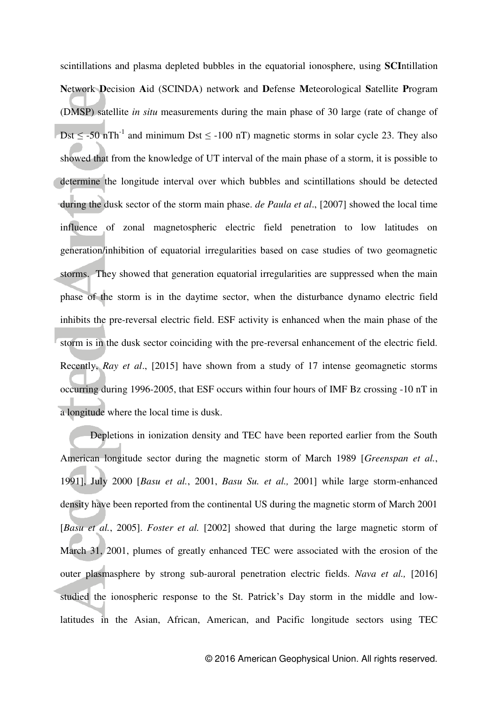scintillations and plasma depleted bubbles in the equatorial ionosphere, using **SCI**ntillation **N**etwork **D**ecision **A**id (SCINDA) network and **D**efense **M**eteorological **S**atellite **P**rogram (DMSP) satellite *in situ* measurements during the main phase of 30 large (rate of change of Dst  $\le$  -50 nTh<sup>-1</sup> and minimum Dst  $\le$  -100 nT) magnetic storms in solar cycle 23. They also showed that from the knowledge of UT interval of the main phase of a storm, it is possible to determine the longitude interval over which bubbles and scintillations should be detected during the dusk sector of the storm main phase. *de Paula et al*., [2007] showed the local time influence of zonal magnetospheric electric field penetration to low latitudes on generation/inhibition of equatorial irregularities based on case studies of two geomagnetic storms. They showed that generation equatorial irregularities are suppressed when the main phase of the storm is in the daytime sector, when the disturbance dynamo electric field inhibits the pre-reversal electric field. ESF activity is enhanced when the main phase of the storm is in the dusk sector coinciding with the pre-reversal enhancement of the electric field. Recently, *Ray et al*., [2015] have shown from a study of 17 intense geomagnetic storms occurring during 1996-2005, that ESF occurs within four hours of IMF Bz crossing -10 nT in a longitude where the local time is dusk.

Depletions in ionization density and TEC have been reported earlier from the South American longitude sector during the magnetic storm of March 1989 [*Greenspan et al.*, 1991], July 2000 [*Basu et al.*, 2001, *Basu Su. et al.,* 2001] while large storm-enhanced density have been reported from the continental US during the magnetic storm of March 2001 [*Basu et al.*, 2005]. *Foster et al.* [2002] showed that during the large magnetic storm of March 31, 2001, plumes of greatly enhanced TEC were associated with the erosion of the outer plasmasphere by strong sub-auroral penetration electric fields. *Nava et al.,* [2016] studied the ionospheric response to the St. Patrick's Day storm in the middle and lowlatitudes in the Asian, African, American, and Pacific longitude sectors using TEC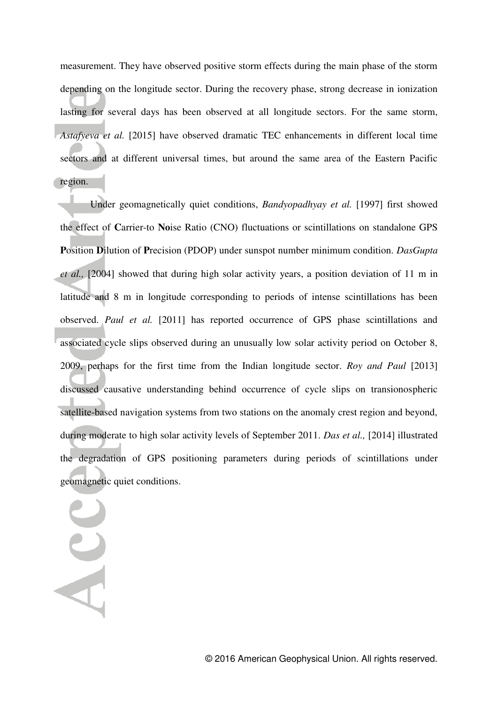measurement. They have observed positive storm effects during the main phase of the storm depending on the longitude sector. During the recovery phase, strong decrease in ionization lasting for several days has been observed at all longitude sectors. For the same storm, *Astafyeva et al.* [2015] have observed dramatic TEC enhancements in different local time sectors and at different universal times, but around the same area of the Eastern Pacific region.

Under geomagnetically quiet conditions, *Bandyopadhyay et al.* [1997] first showed the effect of **C**arrier-to **No**ise Ratio (CNO) fluctuations or scintillations on standalone GPS **P**osition **D**ilution of **P**recision (PDOP) under sunspot number minimum condition. *DasGupta et al.,* [2004] showed that during high solar activity years, a position deviation of 11 m in latitude and 8 m in longitude corresponding to periods of intense scintillations has been observed. *Paul et al.* [2011] has reported occurrence of GPS phase scintillations and associated cycle slips observed during an unusually low solar activity period on October 8, 2009, perhaps for the first time from the Indian longitude sector. *Roy and Paul* [2013] discussed causative understanding behind occurrence of cycle slips on transionospheric satellite-based navigation systems from two stations on the anomaly crest region and beyond, during moderate to high solar activity levels of September 2011. *Das et al.,* [2014] illustrated the degradation of GPS positioning parameters during periods of scintillations under geomagnetic quiet conditions.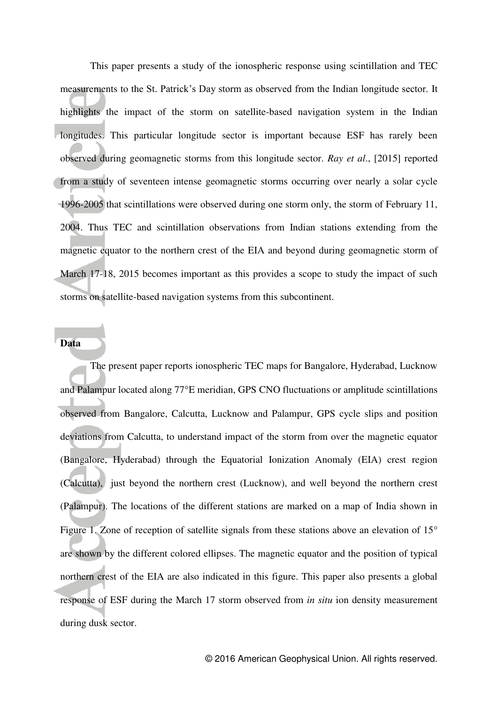This paper presents a study of the ionospheric response using scintillation and TEC measurements to the St. Patrick's Day storm as observed from the Indian longitude sector. It highlights the impact of the storm on satellite-based navigation system in the Indian longitudes. This particular longitude sector is important because ESF has rarely been observed during geomagnetic storms from this longitude sector. *Ray et al*., [2015] reported from a study of seventeen intense geomagnetic storms occurring over nearly a solar cycle 1996-2005 that scintillations were observed during one storm only, the storm of February 11, 2004. Thus TEC and scintillation observations from Indian stations extending from the magnetic equator to the northern crest of the EIA and beyond during geomagnetic storm of March 17-18, 2015 becomes important as this provides a scope to study the impact of such storms on satellite-based navigation systems from this subcontinent.

## **Data**

The present paper reports ionospheric TEC maps for Bangalore, Hyderabad, Lucknow and Palampur located along 77°E meridian, GPS CNO fluctuations or amplitude scintillations observed from Bangalore, Calcutta, Lucknow and Palampur, GPS cycle slips and position deviations from Calcutta, to understand impact of the storm from over the magnetic equator (Bangalore, Hyderabad) through the Equatorial Ionization Anomaly (EIA) crest region (Calcutta), just beyond the northern crest (Lucknow), and well beyond the northern crest (Palampur). The locations of the different stations are marked on a map of India shown in Figure 1. Zone of reception of satellite signals from these stations above an elevation of 15° are shown by the different colored ellipses. The magnetic equator and the position of typical northern crest of the EIA are also indicated in this figure. This paper also presents a global response of ESF during the March 17 storm observed from *in situ* ion density measurement during dusk sector.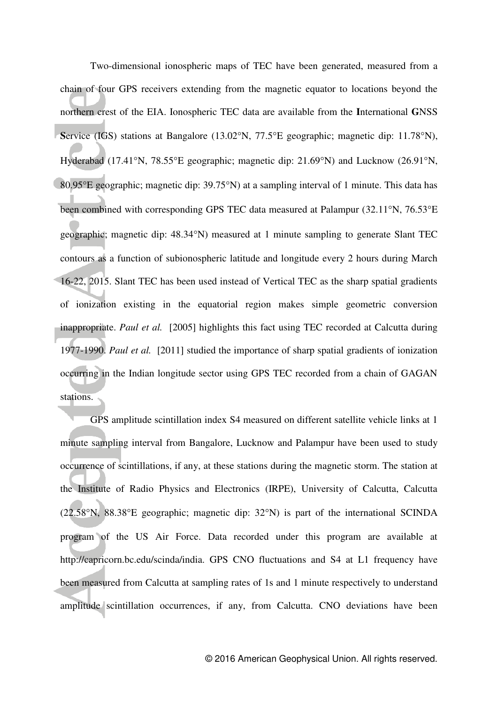Two-dimensional ionospheric maps of TEC have been generated, measured from a chain of four GPS receivers extending from the magnetic equator to locations beyond the northern crest of the EIA. Ionospheric TEC data are available from the **I**nternational **G**NSS Service (IGS) stations at Bangalore (13.02°N, 77.5°E geographic; magnetic dip: 11.78°N), Hyderabad (17.41°N, 78.55°E geographic; magnetic dip: 21.69°N) and Lucknow (26.91°N, 80.95 $^{\circ}$ E geographic; magnetic dip: 39.75 $^{\circ}$ N) at a sampling interval of 1 minute. This data has been combined with corresponding GPS TEC data measured at Palampur  $(32.11\textdegree N, 76.53\textdegree E)$ geographic; magnetic dip: 48.34°N) measured at 1 minute sampling to generate Slant TEC contours as a function of subionospheric latitude and longitude every 2 hours during March 16-22, 2015. Slant TEC has been used instead of Vertical TEC as the sharp spatial gradients of ionization existing in the equatorial region makes simple geometric conversion inappropriate. *Paul et al.* [2005] highlights this fact using TEC recorded at Calcutta during 1977-1990. *Paul et al.* [2011] studied the importance of sharp spatial gradients of ionization occurring in the Indian longitude sector using GPS TEC recorded from a chain of GAGAN stations.

 GPS amplitude scintillation index S4 measured on different satellite vehicle links at 1 minute sampling interval from Bangalore, Lucknow and Palampur have been used to study occurrence of scintillations, if any, at these stations during the magnetic storm. The station at the Institute of Radio Physics and Electronics (IRPE), University of Calcutta, Calcutta  $(22.58^{\circ}N, 88.38^{\circ}E$  geographic; magnetic dip:  $32^{\circ}N$ ) is part of the international SCINDA program of the US Air Force. Data recorded under this program are available at http://capricorn.bc.edu/scinda/india. GPS CNO fluctuations and S4 at L1 frequency have been measured from Calcutta at sampling rates of 1s and 1 minute respectively to understand amplitude scintillation occurrences, if any, from Calcutta. CNO deviations have been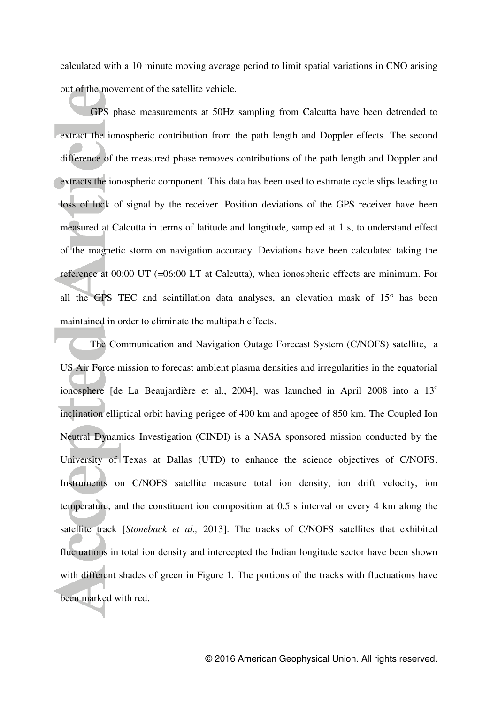calculated with a 10 minute moving average period to limit spatial variations in CNO arising out of the movement of the satellite vehicle.

 GPS phase measurements at 50Hz sampling from Calcutta have been detrended to extract the ionospheric contribution from the path length and Doppler effects. The second difference of the measured phase removes contributions of the path length and Doppler and extracts the ionospheric component. This data has been used to estimate cycle slips leading to loss of lock of signal by the receiver. Position deviations of the GPS receiver have been measured at Calcutta in terms of latitude and longitude, sampled at 1 s, to understand effect of the magnetic storm on navigation accuracy. Deviations have been calculated taking the reference at 00:00 UT (=06:00 LT at Calcutta), when ionospheric effects are minimum. For all the GPS TEC and scintillation data analyses, an elevation mask of  $15^{\circ}$  has been maintained in order to eliminate the multipath effects.

The Communication and Navigation Outage Forecast System (C/NOFS) satellite, a US Air Force mission to forecast ambient plasma densities and irregularities in the equatorial ionosphere [de La Beaujardière et al., 2004], was launched in April 2008 into a 13<sup>o</sup> inclination elliptical orbit having perigee of 400 km and apogee of 850 km. The Coupled Ion Neutral Dynamics Investigation (CINDI) is a NASA sponsored mission conducted by the University of Texas at Dallas (UTD) to enhance the science objectives of C/NOFS. Instruments on C/NOFS satellite measure total ion density, ion drift velocity, ion temperature, and the constituent ion composition at 0.5 s interval or every 4 km along the satellite track [*Stoneback et al.,* 2013]. The tracks of C/NOFS satellites that exhibited fluctuations in total ion density and intercepted the Indian longitude sector have been shown with different shades of green in Figure 1. The portions of the tracks with fluctuations have been marked with red.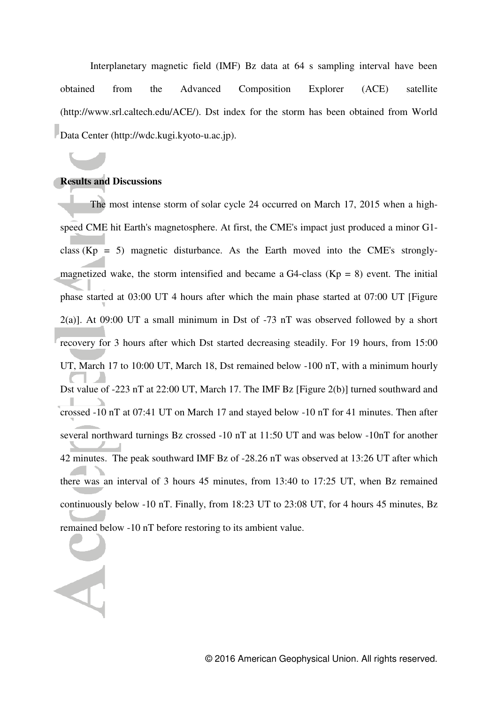Interplanetary magnetic field (IMF) Bz data at 64 s sampling interval have been obtained from the Advanced Composition Explorer (ACE) satellite [\(http://www.srl.caltech.edu/ACE/\)](http://www.srl.caltech.edu/ACE/). Dst index for the storm has been obtained from World Data Center (http://wdc.kugi.kyoto-u.ac.jp).

#### **Results and Discussions**

 The most intense storm of solar cycle 24 occurred on March 17, 2015 when a highspeed CME hit Earth's magnetosphere. At first, the CME's impact just produced a minor G1 class  $(Kp = 5)$  magnetic disturbance. As the Earth moved into the CME's stronglymagnetized wake, the storm intensified and became a G4-class ( $Kp = 8$ ) event. The initial phase started at 03:00 UT 4 hours after which the main phase started at 07:00 UT [Figure 2(a)]. At 09:00 UT a small minimum in Dst of -73 nT was observed followed by a short recovery for 3 hours after which Dst started decreasing steadily. For 19 hours, from 15:00 UT, March 17 to 10:00 UT, March 18, Dst remained below -100 nT, with a minimum hourly Dst value of -223 nT at 22:00 UT, March 17. The IMF Bz [Figure 2(b)] turned southward and crossed -10 nT at 07:41 UT on March 17 and stayed below -10 nT for 41 minutes. Then after several northward turnings Bz crossed -10 nT at 11:50 UT and was below -10nT for another 42 minutes. The peak southward IMF Bz of -28.26 nT was observed at 13:26 UT after which there was an interval of 3 hours 45 minutes, from 13:40 to 17:25 UT, when Bz remained continuously below -10 nT. Finally, from 18:23 UT to 23:08 UT, for 4 hours 45 minutes, Bz remained below -10 nT before restoring to its ambient value.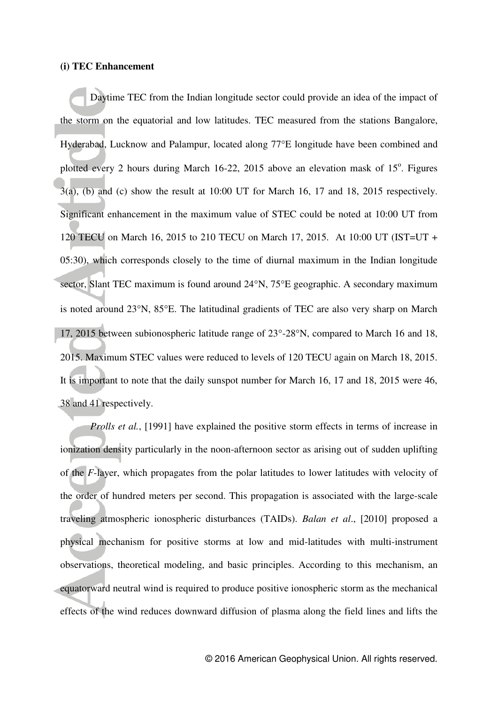#### **(i) TEC Enhancement**

 Daytime TEC from the Indian longitude sector could provide an idea of the impact of the storm on the equatorial and low latitudes. TEC measured from the stations Bangalore, Hyderabad, Lucknow and Palampur, located along 77°E longitude have been combined and plotted every 2 hours during March  $16-22$ , 2015 above an elevation mask of  $15^\circ$ . Figures  $3(a)$ , (b) and (c) show the result at 10:00 UT for March 16, 17 and 18, 2015 respectively. Significant enhancement in the maximum value of STEC could be noted at 10:00 UT from 120 TECU on March 16, 2015 to 210 TECU on March 17, 2015. At 10:00 UT (IST=UT + 05:30), which corresponds closely to the time of diurnal maximum in the Indian longitude sector, Slant TEC maximum is found around  $24^{\circ}N$ ,  $75^{\circ}E$  geographic. A secondary maximum is noted around  $23^{\circ}$ N,  $85^{\circ}$ E. The latitudinal gradients of TEC are also very sharp on March 17, 2015 between subionospheric latitude range of  $23^{\circ}$ -28°N, compared to March 16 and 18, 2015. Maximum STEC values were reduced to levels of 120 TECU again on March 18, 2015. It is important to note that the daily sunspot number for March 16, 17 and 18, 2015 were 46, 38 and 41 respectively.

*Prolls et al.*, [1991] have explained the positive storm effects in terms of increase in ionization density particularly in the noon-afternoon sector as arising out of sudden uplifting of the *F*-layer, which propagates from the polar latitudes to lower latitudes with velocity of the order of hundred meters per second. This propagation is associated with the large-scale traveling atmospheric ionospheric disturbances (TAIDs). *Balan et al*., [2010] proposed a physical mechanism for positive storms at low and mid-latitudes with multi-instrument observations, theoretical modeling, and basic principles. According to this mechanism, an equatorward neutral wind is required to produce positive ionospheric storm as the mechanical effects of the wind reduces downward diffusion of plasma along the field lines and lifts the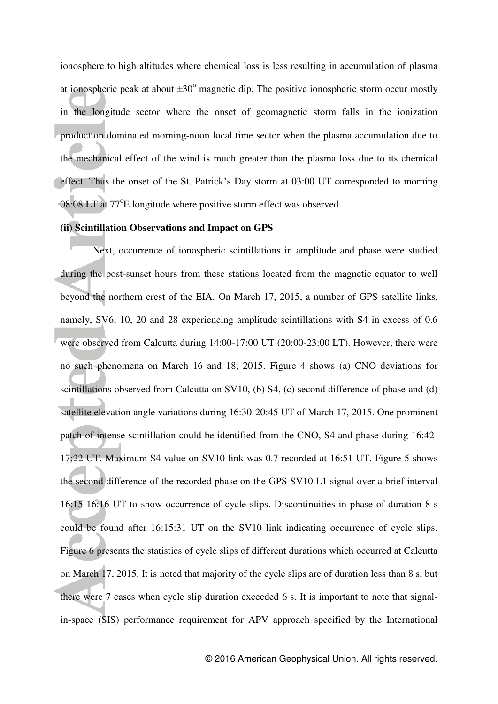ionosphere to high altitudes where chemical loss is less resulting in accumulation of plasma at ionospheric peak at about  $\pm 30^{\circ}$  magnetic dip. The positive ionospheric storm occur mostly in the longitude sector where the onset of geomagnetic storm falls in the ionization production dominated morning-noon local time sector when the plasma accumulation due to the mechanical effect of the wind is much greater than the plasma loss due to its chemical effect. Thus the onset of the St. Patrick's Day storm at 03:00 UT corresponded to morning 08:08 LT at 77°E longitude where positive storm effect was observed.

#### **(ii) Scintillation Observations and Impact on GPS**

 Next, occurrence of ionospheric scintillations in amplitude and phase were studied during the post-sunset hours from these stations located from the magnetic equator to well beyond the northern crest of the EIA. On March 17, 2015, a number of GPS satellite links, namely, SV6, 10, 20 and 28 experiencing amplitude scintillations with S4 in excess of 0.6 were observed from Calcutta during 14:00-17:00 UT (20:00-23:00 LT). However, there were no such phenomena on March 16 and 18, 2015. Figure 4 shows (a) CNO deviations for scintillations observed from Calcutta on SV10, (b) S4, (c) second difference of phase and (d) satellite elevation angle variations during 16:30-20:45 UT of March 17, 2015. One prominent patch of intense scintillation could be identified from the CNO, S4 and phase during 16:42- 17:22 UT. Maximum S4 value on SV10 link was 0.7 recorded at 16:51 UT. Figure 5 shows the second difference of the recorded phase on the GPS SV10 L1 signal over a brief interval 16:15-16:16 UT to show occurrence of cycle slips. Discontinuities in phase of duration 8 s could be found after 16:15:31 UT on the SV10 link indicating occurrence of cycle slips. Figure 6 presents the statistics of cycle slips of different durations which occurred at Calcutta on March 17, 2015. It is noted that majority of the cycle slips are of duration less than 8 s, but there were 7 cases when cycle slip duration exceeded 6 s. It is important to note that signalin-space (SIS) performance requirement for APV approach specified by the International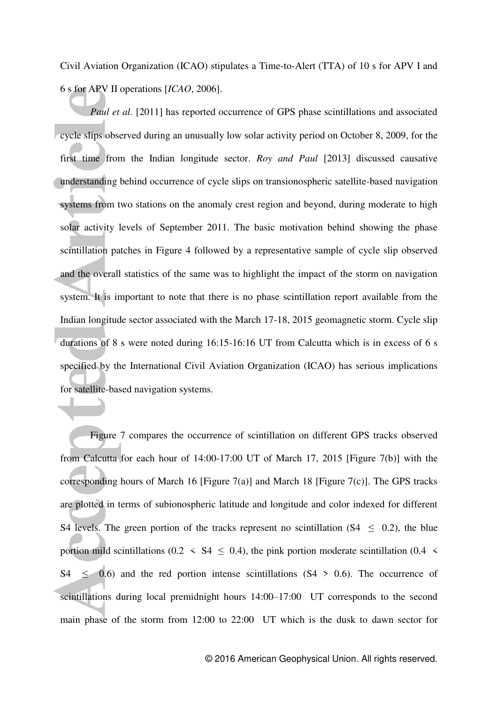Civil Aviation Organization (ICAO) stipulates a Time-to-Alert (TTA) of 10 s for APV I and 6 s for APV II operations [*ICAO*, 2006].

*Paul et al.* [2011] has reported occurrence of GPS phase scintillations and associated cycle slips observed during an unusually low solar activity period on October 8, 2009, for the first time from the Indian longitude sector. *Roy and Paul* [2013] discussed causative understanding behind occurrence of cycle slips on transionospheric satellite-based navigation systems from two stations on the anomaly crest region and beyond, during moderate to high solar activity levels of September 2011. The basic motivation behind showing the phase scintillation patches in Figure 4 followed by a representative sample of cycle slip observed and the overall statistics of the same was to highlight the impact of the storm on navigation system. It is important to note that there is no phase scintillation report available from the Indian longitude sector associated with the March 17-18, 2015 geomagnetic storm. Cycle slip durations of 8 s were noted during 16:15-16:16 UT from Calcutta which is in excess of 6 s specified by the International Civil Aviation Organization (ICAO) has serious implications for satellite-based navigation systems.

Figure 7 compares the occurrence of scintillation on different GPS tracks observed from Calcutta for each hour of 14:00-17:00 UT of March 17, 2015 [Figure 7(b)] with the corresponding hours of March 16 [Figure 7(a)] and March 18 [Figure 7(c)]. The GPS tracks are plotted in terms of subionospheric latitude and longitude and color indexed for different S4 levels. The green portion of the tracks represent no scintillation ( $S_4 < 0.2$ ), the blue portion mild scintillations (0.2  $\leq$  S4  $\leq$  0.4), the pink portion moderate scintillation (0.4  $\leq$ S4  $\leq$  0.6) and the red portion intense scintillations (S4 > 0.6). The occurrence of scintillations during local premidnight hours 14:00–17:00 UT corresponds to the second main phase of the storm from 12:00 to 22:00 UT which is the dusk to dawn sector for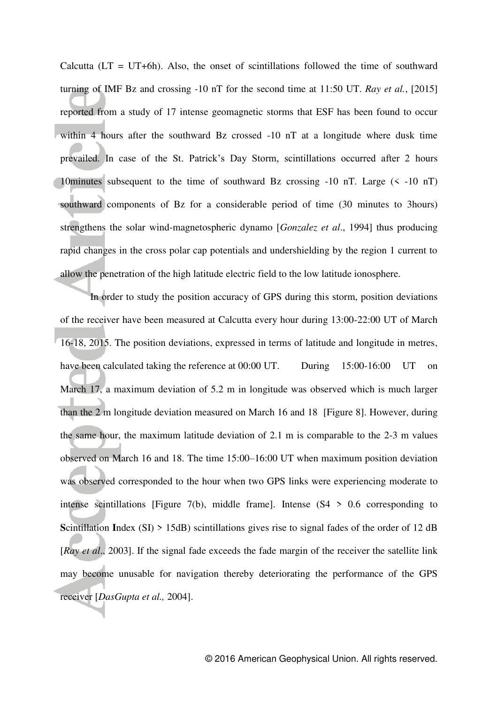Calcutta  $(LT = UT+6h)$ . Also, the onset of scintillations followed the time of southward turning of IMF Bz and crossing -10 nT for the second time at 11:50 UT. *Ray et al.*, [2015] reported from a study of 17 intense geomagnetic storms that ESF has been found to occur within 4 hours after the southward Bz crossed -10 nT at a longitude where dusk time prevailed. In case of the St. Patrick's Day Storm, scintillations occurred after 2 hours 10minutes subsequent to the time of southward Bz crossing -10 nT. Large (< -10 nT) southward components of Bz for a considerable period of time (30 minutes to 3hours) strengthens the solar wind-magnetospheric dynamo [*Gonzalez et al*., 1994] thus producing rapid changes in the cross polar cap potentials and undershielding by the region 1 current to allow the penetration of the high latitude electric field to the low latitude ionosphere.

In order to study the position accuracy of GPS during this storm, position deviations of the receiver have been measured at Calcutta every hour during 13:00-22:00 UT of March 16-18, 2015. The position deviations, expressed in terms of latitude and longitude in metres, have been calculated taking the reference at 00:00 UT. During 15:00-16:00 UT on March 17, a maximum deviation of 5.2 m in longitude was observed which is much larger than the 2 m longitude deviation measured on March 16 and 18 [Figure 8]. However, during the same hour, the maximum latitude deviation of 2.1 m is comparable to the 2-3 m values observed on March 16 and 18. The time 15:00–16:00 UT when maximum position deviation was observed corresponded to the hour when two GPS links were experiencing moderate to intense scintillations [Figure 7(b), middle frame]. Intense  $(S4 \gt 0.6$  corresponding to **S**cintillation **I**ndex (SI) > 15dB) scintillations gives rise to signal fades of the order of 12 dB [*Ray et al*., 2003]. If the signal fade exceeds the fade margin of the receiver the satellite link may become unusable for navigation thereby deteriorating the performance of the GPS receiver [*DasGupta et al.,* 2004].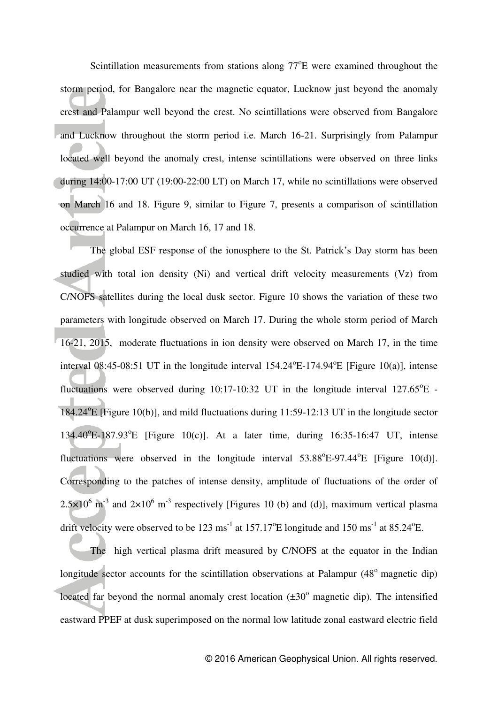Scintillation measurements from stations along  $77^{\circ}E$  were examined throughout the storm period, for Bangalore near the magnetic equator, Lucknow just beyond the anomaly crest and Palampur well beyond the crest. No scintillations were observed from Bangalore and Lucknow throughout the storm period i.e. March 16-21. Surprisingly from Palampur located well beyond the anomaly crest, intense scintillations were observed on three links during 14:00-17:00 UT (19:00-22:00 LT) on March 17, while no scintillations were observed on March 16 and 18. Figure 9, similar to Figure 7, presents a comparison of scintillation occurrence at Palampur on March 16, 17 and 18.

 The global ESF response of the ionosphere to the St. Patrick's Day storm has been studied with total ion density (Ni) and vertical drift velocity measurements (Vz) from C/NOFS satellites during the local dusk sector. Figure 10 shows the variation of these two parameters with longitude observed on March 17. During the whole storm period of March 16-21, 2015, moderate fluctuations in ion density were observed on March 17, in the time interval 08:45-08:51 UT in the longitude interval  $154.24^{\circ}E$ -174.94 $^{\circ}E$  [Figure 10(a)], intense fluctuations were observed during  $10:17-10:32$  UT in the longitude interval  $127.65^{\circ}E$  -184.24°E [Figure 10(b)], and mild fluctuations during 11:59-12:13 UT in the longitude sector 134.40°E-187.93°E [Figure 10(c)]. At a later time, during 16:35-16:47 UT, intense fluctuations were observed in the longitude interval  $53.88^{\circ}E-97.44^{\circ}E$  [Figure 10(d)]. Corresponding to the patches of intense density, amplitude of fluctuations of the order of  $2.5 \times 10^6$  m<sup>-3</sup> and  $2 \times 10^6$  m<sup>-3</sup> respectively [Figures 10 (b) and (d)], maximum vertical plasma drift velocity were observed to be 123 ms<sup>-1</sup> at 157.17<sup>o</sup>E longitude and 150 ms<sup>-1</sup> at 85.24<sup>o</sup>E.

 The high vertical plasma drift measured by C/NOFS at the equator in the Indian longitude sector accounts for the scintillation observations at Palampur  $(48^{\circ})$  magnetic dip) located far beyond the normal anomaly crest location  $(\pm 30^{\circ})$  magnetic dip). The intensified eastward PPEF at dusk superimposed on the normal low latitude zonal eastward electric field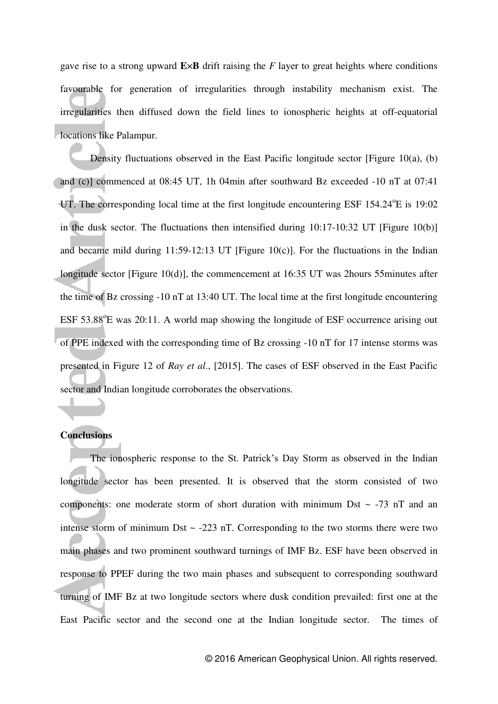gave rise to a strong upward **E**×**B** drift raising the *F* layer to great heights where conditions favourable for generation of irregularities through instability mechanism exist. The irregularities then diffused down the field lines to ionospheric heights at off-equatorial **lacations like Palampur.** 

Density fluctuations observed in the East Pacific longitude sector [Figure 10(a), (b) and (c)] commenced at 08:45 UT, 1h 04min after southward Bz exceeded -10 nT at 07:41 UT. The corresponding local time at the first longitude encountering ESF 154.24 °E is 19:02 in the dusk sector. The fluctuations then intensified during 10:17-10:32 UT [Figure 10(b)] and became mild during  $11:59-12:13$  UT [Figure 10(c)]. For the fluctuations in the Indian longitude sector [Figure 10(d)], the commencement at 16:35 UT was 2hours 55minutes after the time of Bz crossing -10 nT at 13:40 UT. The local time at the first longitude encountering ESF 53.88°E was 20:11. A world map showing the longitude of ESF occurrence arising out of PPE indexed with the corresponding time of Bz crossing -10 nT for 17 intense storms was presented in Figure 12 of *Ray et al*., [2015]. The cases of ESF observed in the East Pacific sector and Indian longitude corroborates the observations.

## **Conclusions**

The ionospheric response to the St. Patrick's Day Storm as observed in the Indian longitude sector has been presented. It is observed that the storm consisted of two components: one moderate storm of short duration with minimum Dst  $\sim$  -73 nT and an intense storm of minimum Dst  $\sim$  -223 nT. Corresponding to the two storms there were two main phases and two prominent southward turnings of IMF Bz. ESF have been observed in response to PPEF during the two main phases and subsequent to corresponding southward turning of IMF Bz at two longitude sectors where dusk condition prevailed: first one at the East Pacific sector and the second one at the Indian longitude sector. The times of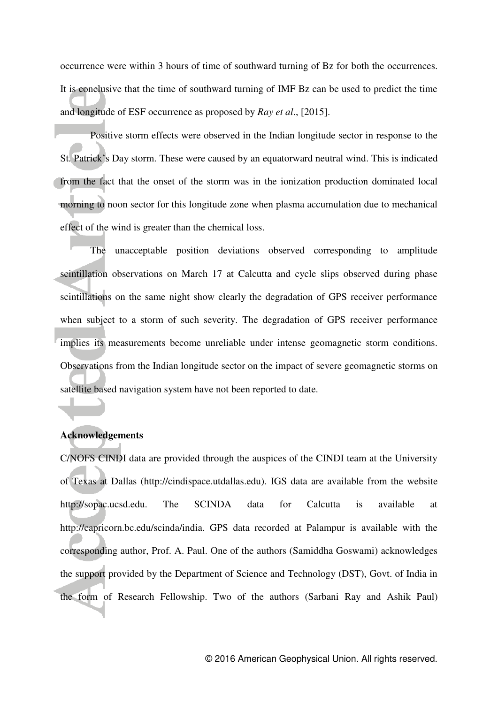occurrence were within 3 hours of time of southward turning of Bz for both the occurrences. It is conclusive that the time of southward turning of IMF Bz can be used to predict the time and longitude of ESF occurrence as proposed by *Ray et al*., [2015].

 Positive storm effects were observed in the Indian longitude sector in response to the St. Patrick's Day storm. These were caused by an equatorward neutral wind. This is indicated from the fact that the onset of the storm was in the ionization production dominated local morning to noon sector for this longitude zone when plasma accumulation due to mechanical effect of the wind is greater than the chemical loss.

 The unacceptable position deviations observed corresponding to amplitude scintillation observations on March 17 at Calcutta and cycle slips observed during phase scintillations on the same night show clearly the degradation of GPS receiver performance when subject to a storm of such severity. The degradation of GPS receiver performance implies its measurements become unreliable under intense geomagnetic storm conditions. Observations from the Indian longitude sector on the impact of severe geomagnetic storms on satellite based navigation system have not been reported to date.

### **Acknowledgements**

֦

C/NOFS CINDI data are provided through the auspices of the CINDI team at the University of Texas at Dallas (http://cindispace.utdallas.edu). IGS data are available from the website http://sopac.ucsd.edu. The SCINDA data for Calcutta is available at http://capricorn.bc.edu/scinda/india. GPS data recorded at Palampur is available with the corresponding author, Prof. A. Paul. One of the authors (Samiddha Goswami) acknowledges the support provided by the Department of Science and Technology (DST), Govt. of India in the form of Research Fellowship. Two of the authors (Sarbani Ray and Ashik Paul)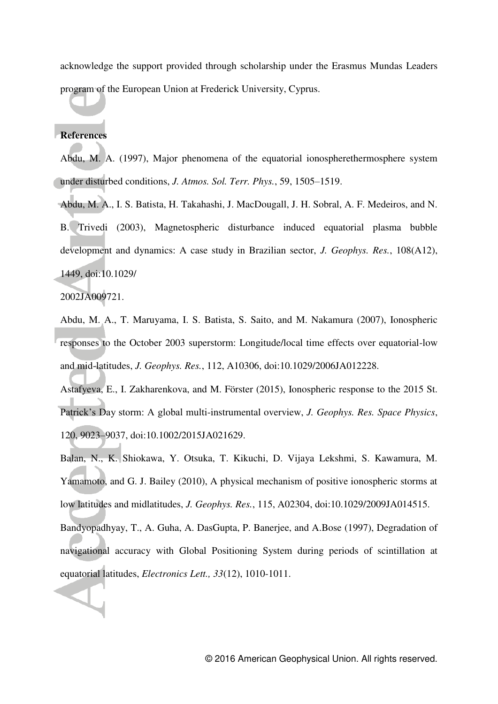acknowledge the support provided through scholarship under the Erasmus Mundas Leaders program of the European Union at Frederick University, Cyprus.

## **References**

Abdu, M. A. (1997), Major phenomena of the equatorial ionospherethermosphere system under disturbed conditions, *J. Atmos. Sol. Terr. Phys.*, 59, 1505–1519.

Abdu, M. A., I. S. Batista, H. Takahashi, J. MacDougall, J. H. Sobral, A. F. Medeiros, and N. B. Trivedi (2003), Magnetospheric disturbance induced equatorial plasma bubble development and dynamics: A case study in Brazilian sector, *J. Geophys. Res.*, 108(A12), 1449, doi:10.1029/

2002JA009721.

Abdu, M. A., T. Maruyama, I. S. Batista, S. Saito, and M. Nakamura (2007), Ionospheric responses to the October 2003 superstorm: Longitude/local time effects over equatorial-low and mid-latitudes, *J. Geophys. Res.*, 112, A10306, doi:10.1029/2006JA012228.

Astafyeva, E., I. Zakharenkova, and M. Förster (2015), Ionospheric response to the 2015 St. Patrick's Day storm: A global multi-instrumental overview, *J. Geophys. Res. Space Physics*, 120, 9023–9037, doi:10.1002/2015JA021629.

Balan, N., K. Shiokawa, Y. Otsuka, T. Kikuchi, D. Vijaya Lekshmi, S. Kawamura, M. Yamamoto, and G. J. Bailey (2010), A physical mechanism of positive ionospheric storms at low latitudes and midlatitudes, *J. Geophys. Res.*, 115, A02304, doi:10.1029/2009JA014515.

Bandyopadhyay, T., A. Guha, A. DasGupta, P. Banerjee, and A.Bose (1997), Degradation of navigational accuracy with Global Positioning System during periods of scintillation at equatorial latitudes, *Electronics Lett., 33*(12), 1010-1011.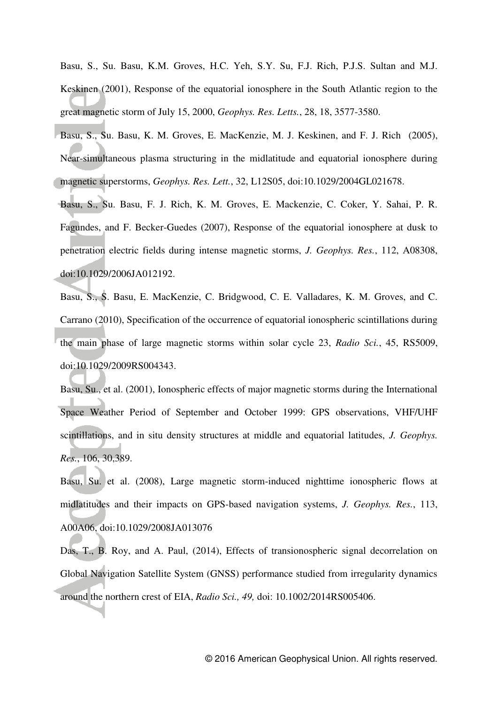Basu, S., Su. Basu, K.M. Groves, H.C. Yeh, S.Y. Su, F.J. Rich, P.J.S. Sultan and M.J. Keskinen (2001), Response of the equatorial ionosphere in the South Atlantic region to the great magnetic storm of July 15, 2000, *Geophys. Res. Letts.*, 28, 18, 3577-3580.

- Basu, S., Su. Basu, K. M. Groves, E. MacKenzie, M. J. Keskinen, and F. J. Rich (2005), Near-simultaneous plasma structuring in the midlatitude and equatorial ionosphere during magnetic superstorms, *Geophys. Res. Lett.*, 32, L12S05, doi:10.1029/2004GL021678.
- Basu, S., Su. Basu, F. J. Rich, K. M. Groves, E. Mackenzie, C. Coker, Y. Sahai, P. R. Fagundes, and F. Becker-Guedes (2007), Response of the equatorial ionosphere at dusk to penetration electric fields during intense magnetic storms, *J. Geophys. Res.*, 112, A08308, doi:10.1029/2006JA012192.

Basu, S., S. Basu, E. MacKenzie, C. Bridgwood, C. E. Valladares, K. M. Groves, and C. Carrano (2010), Specification of the occurrence of equatorial ionospheric scintillations during the main phase of large magnetic storms within solar cycle 23, *Radio Sci.*, 45, RS5009, doi:10.1029/2009RS004343.

Basu, Su., et al. (2001), Ionospheric effects of major magnetic storms during the International Space Weather Period of September and October 1999: GPS observations, VHF/UHF scintillations, and in situ density structures at middle and equatorial latitudes, *J. Geophys. Res.*, 106, 30,389.

Basu, Su. et al. (2008), Large magnetic storm-induced nighttime ionospheric flows at midlatitudes and their impacts on GPS-based navigation systems, *J. Geophys. Res.*, 113, A00A06, doi:10.1029/2008JA013076

Das, T., B. Roy, and A. Paul, (2014), Effects of transionospheric signal decorrelation on Global Navigation Satellite System (GNSS) performance studied from irregularity dynamics around the northern crest of EIA, *Radio Sci., 49,* doi: 10.1002/2014RS005406.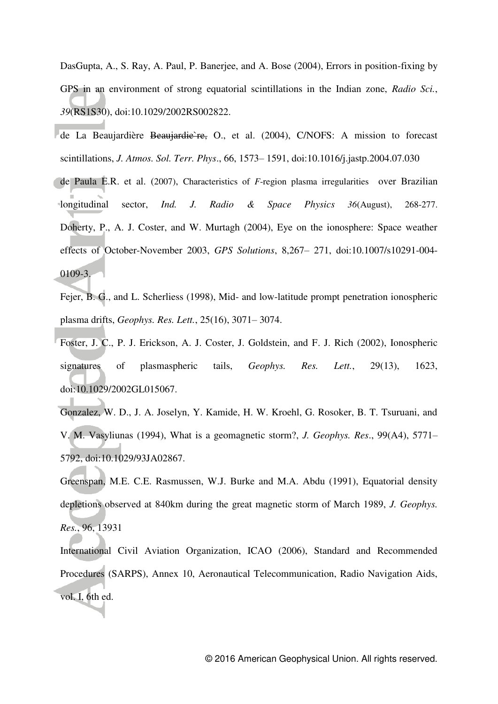DasGupta, A., S. Ray, A. Paul, P. Banerjee, and A. Bose (2004), Errors in position-fixing by GPS in an environment of strong equatorial scintillations in the Indian zone, *Radio Sci.*, *39*(RS1S30), doi:10.1029/2002RS002822.

- de La Beaujardière Beaujardie re, O., et al. (2004), C/NOFS: A mission to forecast scintillations, *J. Atmos. Sol. Terr. Phys*., 66, 1573– 1591, doi:10.1016/j.jastp.2004.07.030
- de Paula E.R. et al. (2007), Characteristics of *F*-region plasma irregularities over Brazilian longitudinal sector, *Ind. J. Radio & Space Physics 36*(August), 268-277. Doherty, P., A. J. Coster, and W. Murtagh (2004), Eye on the ionosphere: Space weather effects of October-November 2003, *GPS Solutions*, 8,267– 271, doi:10.1007/s10291-004- 0109-3.

Fejer, B. G., and L. Scherliess (1998), Mid- and low-latitude prompt penetration ionospheric plasma drifts, *Geophys. Res. Lett.*, 25(16), 3071– 3074.

Foster, J. C., P. J. Erickson, A. J. Coster, J. Goldstein, and F. J. Rich (2002), Ionospheric signatures of plasmaspheric tails, *Geophys. Res. Lett.*, 29(13), 1623, doi:10.1029/2002GL015067.

Gonzalez, W. D., J. A. Joselyn, Y. Kamide, H. W. Kroehl, G. Rosoker, B. T. Tsuruani, and V. M. Vasyliunas (1994), What is a geomagnetic storm?, *J. Geophys. Res*., 99(A4), 5771– 5792, doi:10.1029/93JA02867.

Greenspan, M.E. C.E. Rasmussen, W.J. Burke and M.A. Abdu (1991), Equatorial density depletions observed at 840km during the great magnetic storm of March 1989, *J. Geophys. Res.*, 96, 13931

International Civil Aviation Organization, ICAO (2006), Standard and Recommended Procedures (SARPS), Annex 10, Aeronautical Telecommunication, Radio Navigation Aids, vol. I, 6th ed.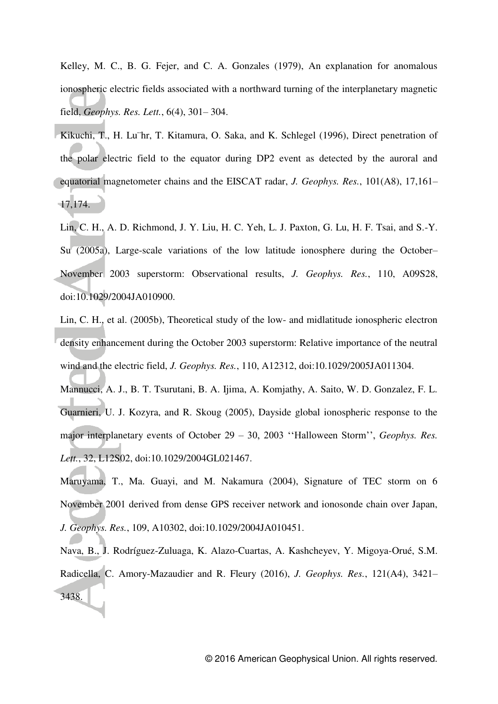Kelley, M. C., B. G. Fejer, and C. A. Gonzales (1979), An explanation for anomalous ionospheric electric fields associated with a northward turning of the interplanetary magnetic field, *Geophys. Res. Lett.*, 6(4), 301– 304.

- Kikuchi, T., H. Lu¨hr, T. Kitamura, O. Saka, and K. Schlegel (1996), Direct penetration of the polar electric field to the equator during DP2 event as detected by the auroral and equatorial magnetometer chains and the EISCAT radar, *J. Geophys. Res.*, 101(A8), 17,161– 17,174.
- Lin, C. H., A. D. Richmond, J. Y. Liu, H. C. Yeh, L. J. Paxton, G. Lu, H. F. Tsai, and S.-Y. Su (2005a), Large-scale variations of the low latitude ionosphere during the October– November 2003 superstorm: Observational results, *J. Geophys. Res.*, 110, A09S28, doi:10.1029/2004JA010900.
- Lin, C. H., et al. (2005b), Theoretical study of the low- and midlatitude ionospheric electron density enhancement during the October 2003 superstorm: Relative importance of the neutral wind and the electric field, *J. Geophys. Res.*, 110, A12312, doi:10.1029/2005JA011304.
- Mannucci, A. J., B. T. Tsurutani, B. A. Ijima, A. Komjathy, A. Saito, W. D. Gonzalez, F. L. Guarnieri, U. J. Kozyra, and R. Skoug (2005), Dayside global ionospheric response to the major interplanetary events of October 29 – 30, 2003 ''Halloween Storm'', *Geophys. Res. Lett.*, 32, L12S02, doi:10.1029/2004GL021467.
- Maruyama, T., Ma. Guayi, and M. Nakamura (2004), Signature of TEC storm on 6 November 2001 derived from dense GPS receiver network and ionosonde chain over Japan, *J. Geophys. Res.*, 109, A10302, doi:10.1029/2004JA010451.
- Nava, B., J. Rodríguez-Zuluaga, K. Alazo-Cuartas, A. Kashcheyev, Y. Migoya-Orué, S.M. Radicella, C. Amory-Mazaudier and R. Fleury (2016), *J. Geophys. Res.*, [121\(A4\), 3](http://onlinelibrary.wiley.com/doi/10.1002/jgra.v121.4/issuetoc)421– 3438.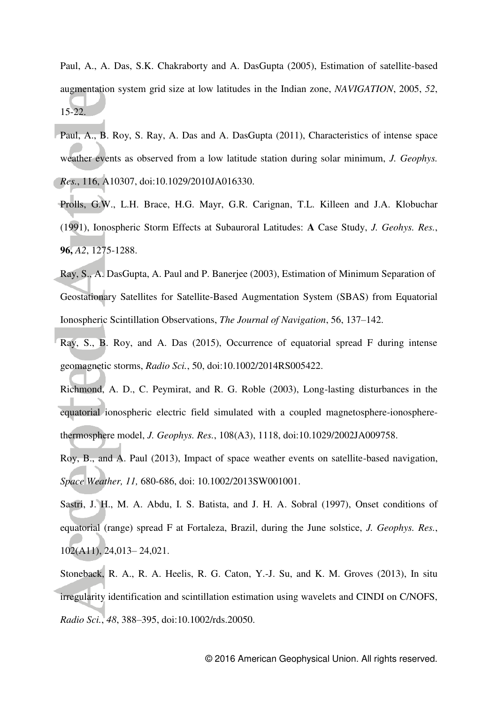Paul, A., A. Das, S.K. Chakraborty and A. DasGupta (2005), Estimation of satellite-based augmentation system grid size at low latitudes in the Indian zone, *NAVIGATION*, 2005, *52*, 15-22.

- Paul, A., B. Roy, S. Ray, A. Das and A. DasGupta (2011), Characteristics of intense space weather events as observed from a low latitude station during solar minimum, *J. Geophys. Res.*, 116, A10307, doi:10.1029/2010JA016330.
- Prolls, G.W., L.H. Brace, H.G. Mayr, G.R. Carignan, T.L. Killeen and J.A. Klobuchar (1991), Ionospheric Storm Effects at Subauroral Latitudes: **A** Case Study, *J. Geohys. Res.*, **96,** *A2*, 1275-1288.
- Ray, S., A. DasGupta, A. Paul and P. Banerjee (2003), Estimation of Minimum Separation of Geostationary Satellites for Satellite-Based Augmentation System (SBAS) from Equatorial Ionospheric Scintillation Observations, *The Journal of Navigation*, 56, 137–142.
- Ray, S., B. Roy, and A. Das (2015), Occurrence of equatorial spread F during intense geomagnetic storms, *Radio Sci.*, 50, doi:10.1002/2014RS005422.
- Richmond, A. D., C. Peymirat, and R. G. Roble (2003), Long-lasting disturbances in the equatorial ionospheric electric field simulated with a coupled magnetosphere-ionospherethermosphere model, *J. Geophys. Res.*, 108(A3), 1118, doi:10.1029/2002JA009758.

Roy, B., and A. Paul (2013), Impact of space weather events on satellite-based navigation, *Space Weather, 11,* 680-686, doi: 10.1002/2013SW001001.

Sastri, J. H., M. A. Abdu, I. S. Batista, and J. H. A. Sobral (1997), Onset conditions of equatorial (range) spread F at Fortaleza, Brazil, during the June solstice, *J. Geophys. Res.*, 102(A11), 24,013– 24,021.

Stoneback, R. A., R. A. Heelis, R. G. Caton, Y.-J. Su, and K. M. Groves (2013), In situ irregularity identification and scintillation estimation using wavelets and CINDI on C/NOFS, *Radio Sci.*, *48*, 388–395, doi:10.1002/rds.20050.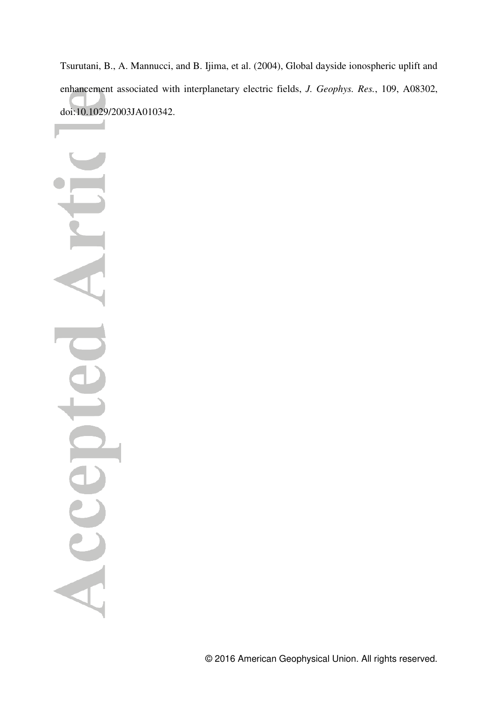Tsurutani, B., A. Mannucci, and B. Ijima, et al. (2004), Global dayside ionospheric uplift and enhancement associated with interplanetary electric fields, *J. Geophys. Res.*, 109, A08302, doi:10.1029/2003JA010342.

Acc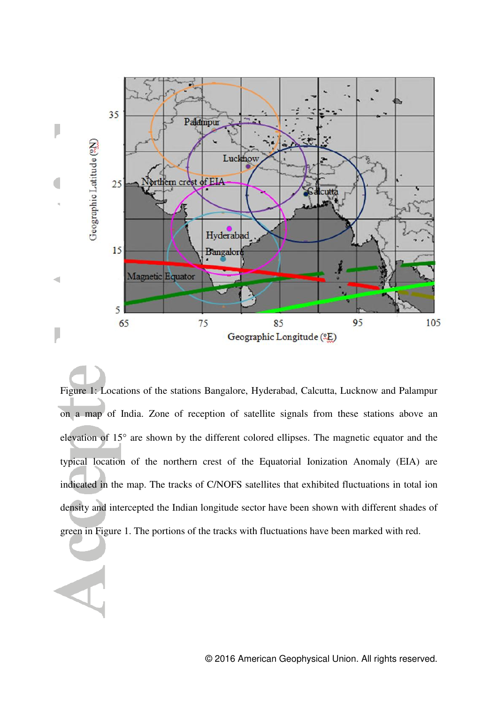

Figure 1: Locations of the stations Bangalore, Hyderabad, Calcutta, Lucknow and Palampur on a map of India. Zone of reception of satellite signals from these stations above an elevation of 15° are shown by the different colored ellipses. The magnetic equator and the typical location of the northern crest of the Equatorial Ionization Anomaly (EIA) are indicated in the map. The tracks of C/NOFS satellites that exhibited fluctuations in total ion density and intercepted the Indian longitude sector have been shown with different shades of green in Figure 1. The portions of the tracks with fluctuations have been marked with red.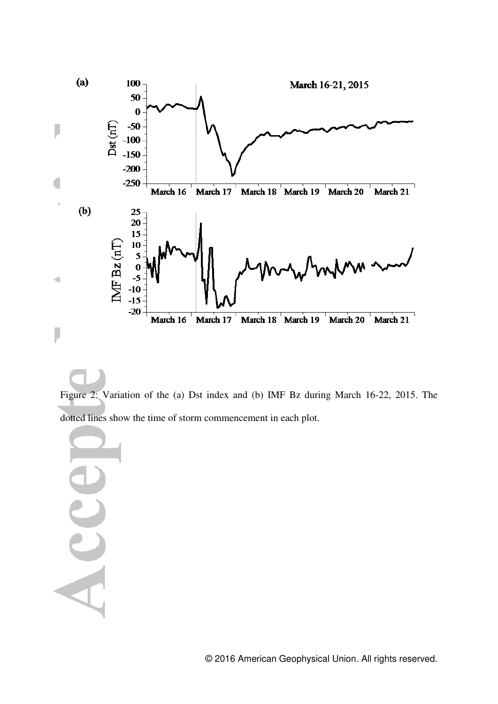

Figure 2: Variation of the (a) Dst index and (b) IMF Bz during March 16-22, 2015. The dotted lines show the time of storm commencement in each plot.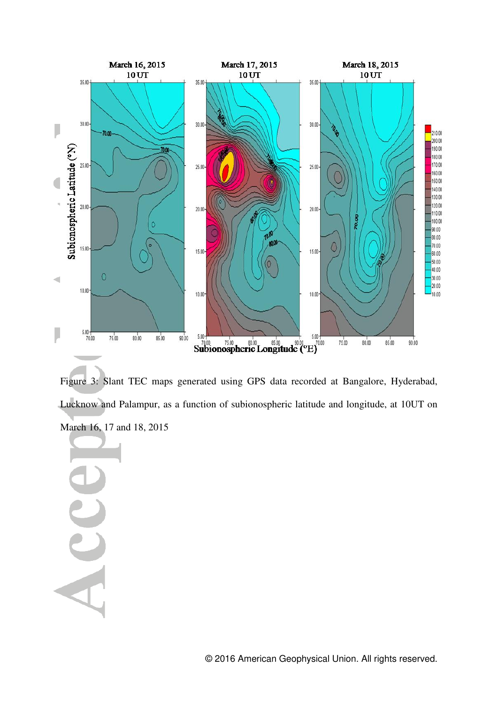

Figure 3: Slant TEC maps generated using GPS data recorded at Bangalore, Hyderabad, Lucknow and Palampur, as a function of subionospheric latitude and longitude, at 10UT on March 16, 17 and 18, 2015

Acce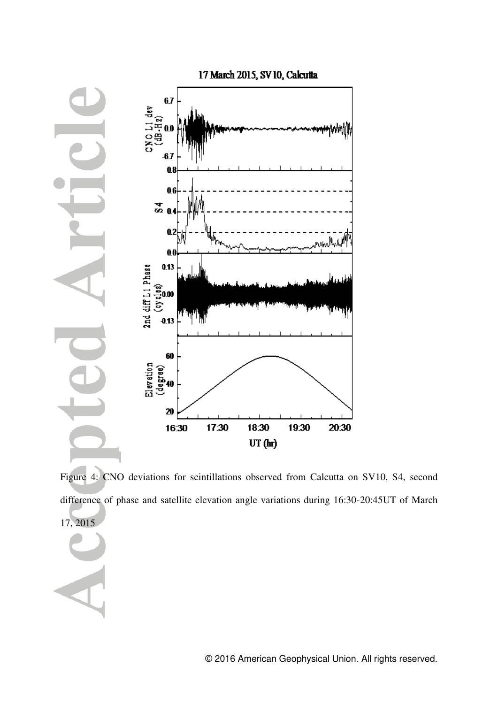

Figure 4: CNO deviations for scintillations observed from Calcutta on SV10, S4, second difference of phase and satellite elevation angle variations during 16:30-20:45UT of March 17, 2015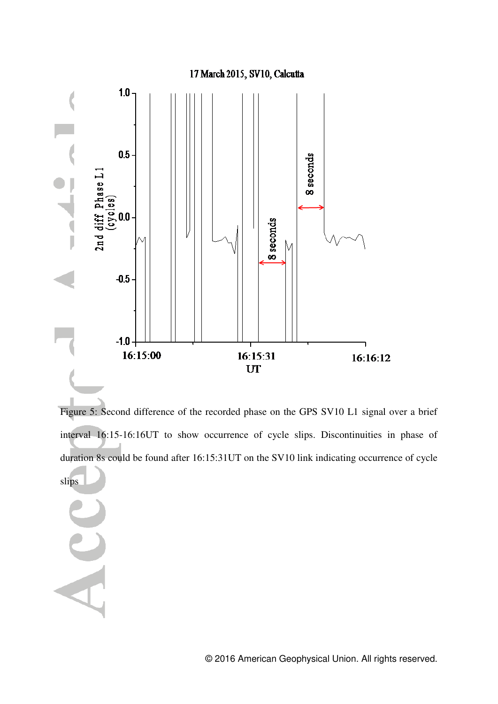

Figure 5: Second difference of the recorded phase on the GPS SV10 L1 signal over a brief interval 16:15-16:16UT to show occurrence of cycle slips. Discontinuities in phase of duration 8s could be found after 16:15:31UT on the SV10 link indicating occurrence of cycle slips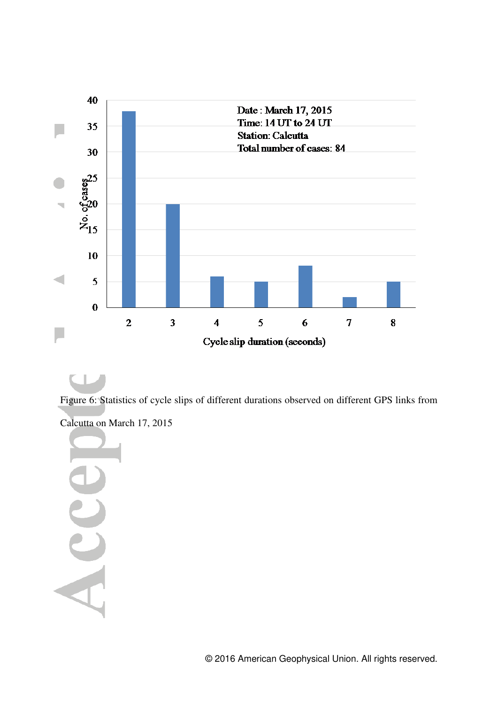

## ۰

Figure 6: Statistics of cycle slips of different durations observed on different GPS links from Calcutta on March 17, 2015

Acc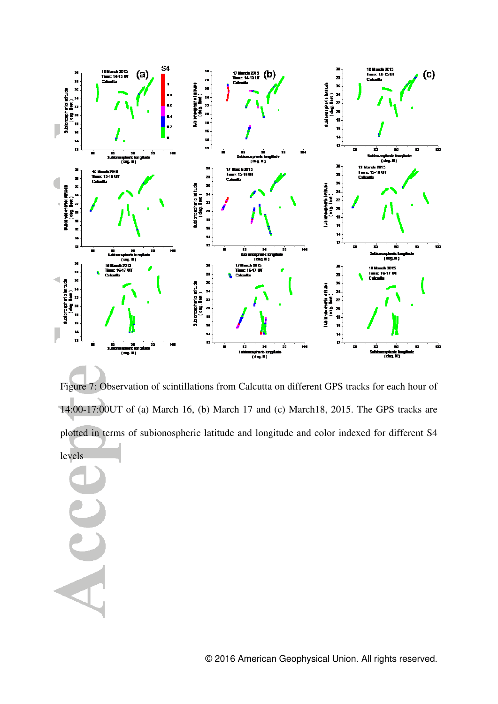

Figure 7: Observation of scintillations from Calcutta on different GPS tracks for each hour of 14:00-17:00UT of (a) March 16, (b) March 17 and (c) March18, 2015. The GPS tracks are plotted in terms of subionospheric latitude and longitude and color indexed for different S4 levels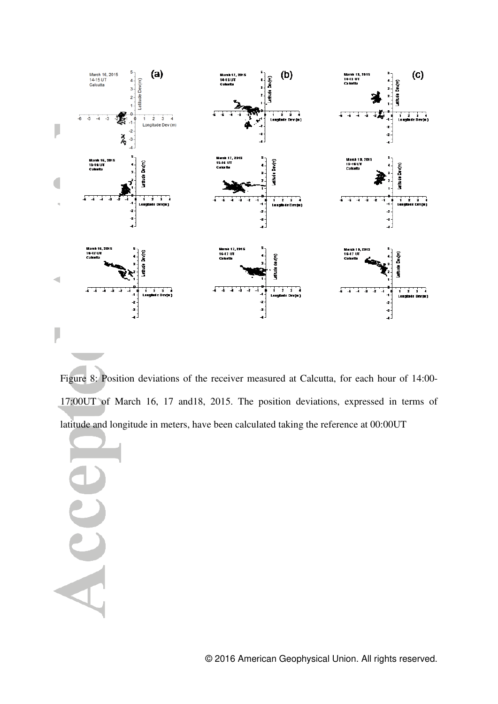

Figure 8: Position deviations of the receiver measured at Calcutta, for each hour of 14:00- 17:00UT of March 16, 17 and18, 2015. The position deviations, expressed in terms of latitude and longitude in meters, have been calculated taking the reference at 00:00UT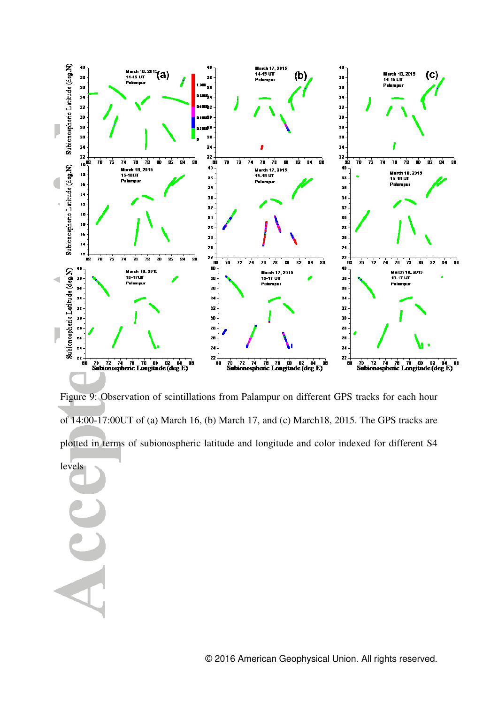

Figure 9: Observation of scintillations from Palampur on different GPS tracks for each hour of 14:00-17:00UT of (a) March 16, (b) March 17, and (c) March18, 2015. The GPS tracks are plotted in terms of subionospheric latitude and longitude and color indexed for different S4

levels